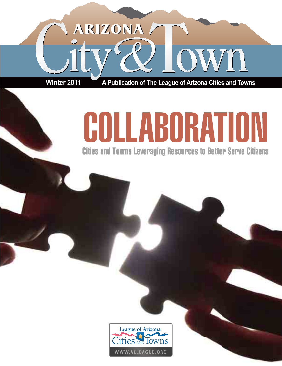# ARIZONA /

**Winter 2011 A Publication of The League of Arizona Cities and Towns**

# COLLABORATIO

**Cities and Towns Leveraging Resources to Better Serve Citizens** 

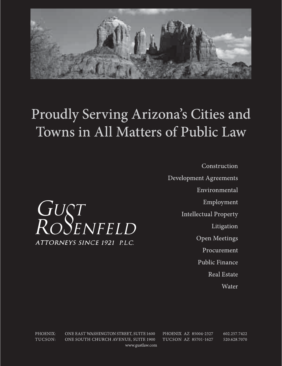

# Proudly Serving Arizona's Cities and Towns in All Matters of Public Law



PHOENIX: ONE EAST WASHINGTON STREET, SUITE 1600 PHOENIX AZ 85004-2327 TUCSON: ONE SOUTH CHURCH AVENUE, SUITE 1900 TUCSON AZ 85701-1627 www.gustlaw.com

GUST<br>ROSENFELD

ATTORNEYS SINCE 1921 P.L.C.

602.257.7422 520.628.7070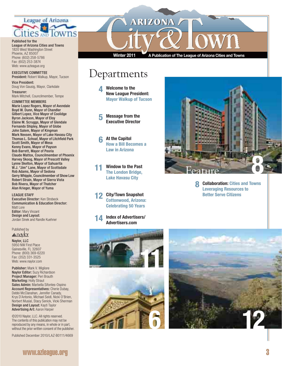

Published for the

## League of Arizona Cities and Towns 1820 West Washington Street Phoenix, AZ 85007

Phone: (602) 258-5786 Fax: (602) 253-3874 Web: www.azleague.org

## EXECUTIVE COMMITTEE President: Robert Walkup, Mayor, Tucson

Vice President: Doug Von Gausig, Mayor, Clarkdale

Treasurer: Mark Mitchell, Councilmember, Tempe

# COMMITTEE MEMBERS

Marie Lopez Rogers, Mayor of Avondale Boyd W. Dunn, Mayor of Chandler Gilbert Lopez, Vice Mayor of Coolidge Byron Jackson, Mayor of Eloy Elaine M. Scruggs, Mayor of Glendale Fernando Shipley, Mayor of Globe John Salem, Mayor of Kingman Mark Nexsen, Mayor of Lake Havasu City Thomas L. Schoaf, Mayor of Litchfield Park Scott Smith, Mayor of Mesa Kenny Evans, Mayor of Payson Bob Barrett, Mayor of Peoria Claude Mattox, Councilmember of Phoenix Harvey Skoog, Mayor of Prescott Valley Lynne Skelton, Mayor of Sahuarita W.J. "Jim" Lane, Mayor of Scottsdale Rob Adams, Mayor of Sedona Gerry Whipple, Councilmember of Show Low Robert Strain, Mayor of Sierra Vista Bob Rivera, Mayor of Thatcher Alan Krieger, Mayor of Yuma

LEAGUE STAFF Executive Director: Ken Strobeck Communication & Education Director: Matt Lore Editor: Mary Vinzant Design and Layout: Jordan Sinek and Randle Kuehner

# Published by

# <u>anaylor</u>

Naylor, LLC 5950 NW First Place Gainesville, FL 32607 Phone: (800) 369-6220 Fax: (352) 331-3525 Web: www.naylor.com

Publisher: Mark V. Migliore Naylor Editor: Suzy Richardson Project Manager: Peri Brauth Marketing: Holly Straut Sales Admin: Marbella Sifontes-Ospino Account Representatives: Cherie Dubay, Debbi McClanahan, Jennifer Canady, Krys D'Antonio, Michael Seidl, Nicki O'Brien, Norbert Musial, Stacy Senick, Vicki Sherman Design and Layout: Kayti Taylor Advertising Art: Aaron Harper

©2010 Naylor, LLC. All rights reserved. The contents of this publication may not be reproduced by any means, in whole or in part, without the prior written consent of the publisher.

Published December 2010/LAZ-B0111/4669

**ARIZONA** 

**Winter 2011 A Publication of The League of Arizona Cities and Towns**

# **Departments**

**4 Welcome to the New League President: Mayor Walkup of Tucson**

 **5 Message from the Executive Director**

 **6 At the Capitol How a Bill Becomes a Law in Arizona**

 **11 Window to the Past The London Bridge, Lake Havasu City**

 **12 City/Town Snapshot Cottonwood, Arizona: Celebrating 50 Years**









**8 Collaboration: Cities and Towns Leveraging Resources to Better Serve Citizens**

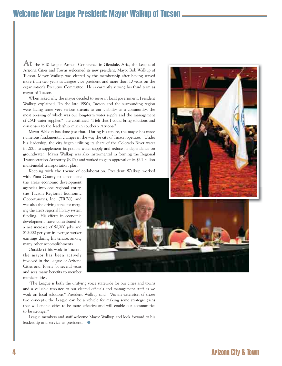# Welcome New League President: Mayor Walkup of Tucson

At the 2010 League Annual Conference in Glendale, Ariz., the League of Arizona Cities and Towns welcomed its new president, Mayor Bob Walkup of Tucson. Mayor Walkup was elected by the membership after having served more than two years as League vice president and more than 10 years on the organization's Executive Committee. He is currently serving his third term as mayor of Tucson.

When asked why the mayor decided to serve in local government, President Walkup explained, "In the late 1990s, Tucson and the surrounding region were facing some very serious threats to our viability as a community, the most pressing of which was our long-term water supply and the management of CAP water supplies." He continued, "I felt that I could bring solutions and consensus to the leadership mix in southern Arizona."

Mayor Walkup has done just that. During his tenure, the mayor has made numerous fundamental changes in the way the city of Tucson operates. Under his leadership, the city began utilizing its share of the Colorado River water in 2001 to supplement its potable water supply and reduce its dependence on groundwater. Mayor Walkup was also instrumental in forming the Regional Transportation Authority (RTA) and worked to gain approval of its \$2.1 billion multi-modal transportation plan.

Keeping with the theme of collaboration, President Walkup worked

with Pima County to consolidate the area's economic development agencies into one regional entity, the Tucson Regional Economic Opportunities, Inc. (TREO), and was also the driving force for merging the area's regional library system funding. His efforts in economic development have contributed to a net increase of 50,000 jobs and \$10,000 per year in average worker earnings during his tenure, among many other accomplishments.

Outside of his work in Tucson, the mayor has been actively involved in the League of Arizona Cities and Towns for several years and sees many benefits to member municipalities.



"The League is both the unifying voice statewide for our cities and towns and a valuable resource to our elected officials and management staff as we work on local solutions," President Walkup said. "As an extension of those two concepts, the League can be a vehicle for making some strategic gains that will enable cities to be more effective and will enable our communities to be stronger."

League members and staff welcome Mayor Walkup and look forward to his leadership and service as president.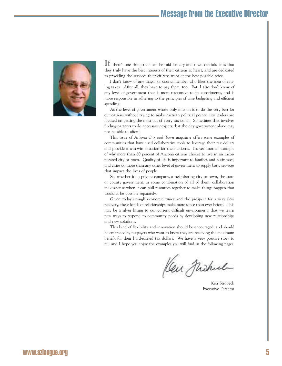# Message from the Executive Director



 $\mathbf{I}$  there's one thing that can be said for city and town officials, it is that they truly have the best interests of their citizens at heart, and are dedicated to providing the services their citizens want at the best possible price.

I don't know of any mayor or councilmember who likes the idea of raising taxes. After all, they have to pay them, too. But, I also don't know of any level of government that is more responsive to its constituents, and is more responsible in adhering to the principles of wise budgeting and efficient spending.

As the level of government whose only mission is to do the very best for our citizens without trying to make partisan political points, city leaders are focused on getting the most out of every tax dollar. Sometimes that involves finding partners to do necessary projects that the city government alone may not be able to afford.

This issue of *Arizona City and Town* magazine offers some examples of communities that have used collaborative tools to leverage their tax dollars and provide a win-win situation for their citizens. It's yet another example of why more than 80 percent of Arizona citizens choose to live in an incorporated city or town. Quality of life is important to families and businesses, and cities do more than any other level of government to supply basic services that impact the lives of people.

So, whether it's a private company, a neighboring city or town, the state or county government, or some combination of all of them, collaboration makes sense when it can pull resources together to make things happen that wouldn't be possible separately.

Given today's tough economic times and the prospect for a very slow recovery, these kinds of relationships make more sense than ever before. This may be a silver lining to our current difficult environment: that we learn new ways to respond to community needs by developing new relationships and new solutions.

This kind of flexibility and innovation should be encouraged, and should be embraced by taxpayers who want to know they are receiving the maximum benefit for their hard-earned tax dollars. We have a very positive story to tell and I hope you enjoy the examples you will find in the following pages.

Ken Fushel

Ken Strobeck Executive Director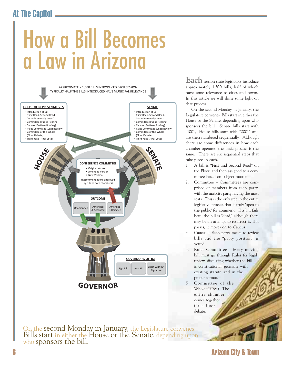# At The Capitol



entire chamber comes together for a floor debate.

On the second Monday in January, the Legislature convenes. Bills start in either the House or the Senate, depending upon who sponsors the bill.

**Each** session state legislators introduce approximately 1,500 bills, half of which have some relevance to cities and towns. In this article we will shine some light on that process.

On the second Monday in January, the Legislature convenes. Bills start in either the House or the Senate, depending upon who sponsors the bill. Senate bills start with "1001," House bills start with "2001" and are then numbered sequentially. Although there are some differences in how each chamber operates, the basic process is the same. There are six sequential steps that take place in each.

- 1. A bill is "First and Second Read" on the Floor; and then assigned to a committee based on subject matter.
- 2. Committee Committees are comprised of members from each party, with the majority party having the most seats. This is the only step in the entire legislative process that is truly 'open to the public' for comment. If a bill fails here, the bill is "dead," although there may be an attempt to resurrect it. If it passes, it moves on to Caucus.
- 3. Caucus Each party meets to review bills and the "party position" is vetted.
- 4. Rules Committee Every moving bill must go through Rules for legal review, discussing whether the bill is constitutional, germane with existing statute and in the proper format.
- 5. Committee of the Whole (COW) - The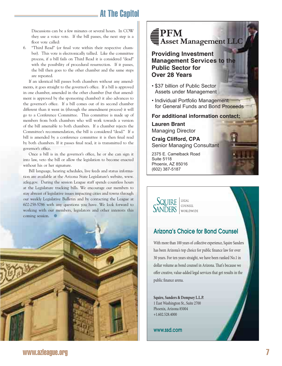# At The Capitol

Discussions can be a few minutes or several hours. In COW they use a voice vote. If the bill passes, the next step is a floor vote called:

6. "Third Read" (or final vote within their respective chamber). This vote is electronically tallied. Like the committee process, if a bill fails on Third Read it is considered "dead" with the possibility of procedural resurrection. If it passes, the bill then goes to the other chamber and the same steps are repeated.

If an identical bill passes both chambers without any amendments, it goes straight to the governor's office. If a bill is approved in one chamber, amended in the other chamber (but that amendment is approved by the sponsoring chamber) it also advances to the governor's office. If a bill comes out of its second chamber different than it went in (through the amendment process) it will go to a Conference Committee. This committee is made up of members from both chambers who will work towards a version of the bill amenable to both chambers. If a chamber rejects the Committee's recommendation, the bill is considered "dead." If a bill is amended by a conference committee it is then final read by both chambers. If it passes final read, it is transmitted to the governor's office.

Once a bill is in the governor's office, he or she can sign it into law, veto the bill or allow the legislation to become enacted without his or her signature.

Bill language, hearing schedules, live feeds and status information are available at the Arizona State Legislature's website, www. azleg.gov. During the session League staff spends countless hours at the Legislature tracking bills. We encourage our members to stay abreast of legislative issues impacting cities and towns through our weekly Legislative Bulletin and by contacting the League at 602-258-5786 with any questions you have. We look forward to working with our members, legislators and other interests this coming session.





**Providing Investment Management Services to the Public Sector for Over 28 Years**

- \$37 billion of Public Sector Assets under Management
- Individual Portfolio Management for General Funds and Bond Proceeds

**For additional information contact:**

**Lauren Brant** Managing Director

**Craig Clifford, CPA** Senior Managing Consultant

2375 E. Camelback Road Suite 5118 Phoenix, AZ 85016 (602) 387-5187

SQUIRE COUNSEL **SANDERS** WORLDWIDE

# Arizona's Choice for Bond Counsel

470067\_Public.indd 1 4/22/10 6:42:56 PM

With more than 100 years of collective experience, Squire Sanders has been Arizona's top choice for public finance law fo r over 30 years. For ten years straight, we have been ranked No.1 in dollar volume as bond counsel in Arizona. That's because we offer creative, value-added legal services that get results in the public finance arena.

**Squire, Sanders & Dempsey L.L.P.** 1 East Washington St., Suite 2700 Phoenix, Arizona 85004 +1.602.528.4000

www.ssd.com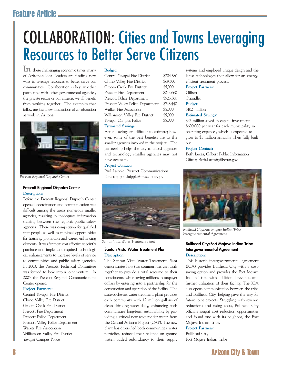# Feature Article

# COLLABORATION: Cities and Towns Leveraging Resources to Better Serve Citizens

**In** these challenging economic times, many of Arizona's local leaders are finding new ways to leverage resources to better serve our communities. Collaboration is key; whether partnering with other governmental agencies, the private sector or our citizens, we all benefit from working together. The examples that follow are just a few illustrations of collaboration at work in Arizona.



*Prescott Regional Dispatch Center*

# **Prescott Regional Dispatch Center Description:**

Before the Prescott Regional Dispatch Center opened, coordination and communication was difficult among the area's numerous smaller agencies, resulting in inadequate information sharing between the region's public safety agencies. There was competition for qualified staff people as well as minimal opportunities for training, promotion and career enhancing elements. It was far more cost effective to jointly purchase and implement required technological enhancements to increase levels of service to communities and public safety agencies. In 2003, the Prescott Technical Committee was formed to look into a joint venture. In 2005, the Prescott Regional Communications Center opened.

# **Project Partners:**

Central Yavapai Fire District Chino Valley Fire District Groom Creek Fire District Prescott Fire Department Prescott Police Department Prescott Valley Police Department Walker Fire Association Williamson Valley Fire District Yavapai Campus Police

# **Budget:**

Central Yavapai Fire District \$204,380 Chino Valley Fire District \$69,300 Groom Creek Fire District \$5,000 Prescott Fire Department \$242,660 Prescott Police Department \$923,560 Prescott Valley Police Department \$748,440 Walker Fire Association \$5,000 Williamson Valley Fire District \$5,000 Yavapai Campus Police \$5,000

# **Estimated Savings:**

Actual savings are difficult to estimate; however, some of the best benefits are to the smaller agencies involved in the project. The partnership helps the city to afford upgrades and technology smaller agencies may not have access to.

# **Project Contact:**

Paul Laipple, Prescott Communications Director, paul.laipple@prescott-az.gov



*Santan Vista Water Treatment Plant*

# **Santan Vista Water Treatment Plant Description:**

The Santan Vista Water Treatment Plant demonstrates how two communities can work together to provide a vital resource to their constituents, while saving millions in taxpayer dollars by entering into a partnership for the construction and operation of the facility. The state-of-the-art water treatment plant provides each community with 12 million gallons of clean drinking water daily, enhancing both communities' long-term sustainability by providing a critical new resource for water, from the Central Arizona Project (CAP). The new plant has diversified both communities' water portfolios, reduced their reliance on ground water, added redundancy to their supply

systems and employed unique design and the latest technologies that allow for an energyefficient treatment process.

# **Project Partners:**

- Gilbert
- Chandler
- **Budget:**
- \$102 million

# **Estimated Savings:**

\$22 million saved in capital investment; \$600,000 per year for each municipality in operating expenses, which is expected to grow to \$1 million annually when fully built out.

# **Project Contact:**

Beth Lucas, Gilbert Public Information Officer, Beth.Lucas@gilbertaz.gov



*Bullhead City/Fort Mojave Indian Tribe Intergovernmental Agreement*

# **Bullhead City/Fort Mojave Indian Tribe Intergovernmental Agreement Description:**

This historic intergovernmental agreement (IGA) provides Bullhead City with a costsaving option and provides the Fort Mojave Indian Tribe with additional revenue and further utilization of their facility. The IGA also opens communication between the tribe and Bullhead City, helping pave the way for future joint projects. Struggling with revenue reductions and rising costs, Bullhead City officials sought cost reduction opportunities and found one with its neighbor, the Fort Mojave Indian Tribe.

# **Project Partners:**

Bullhead City Fort Mojave Indian Tribe

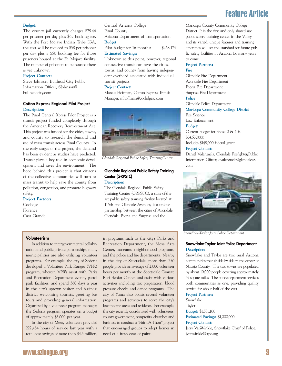# Feature Article

# **Budget:**

The county jail currently charges \$79.46 per prisoner per day plus \$65 booking fee. With the Fort Mojave Indian Tribe IGA, the cost will be reduced to \$58 per prisoner per day plus a \$50 booking fee for those prisoners housed at the Ft. Mojave facility. The number of prisoners to be housed there is yet unknown.

# **Project Contact:**

Steve Johnson, Bullhead City Public Information Officer, SJohnson@ bullheadcity.com

# **Cotton Express Regional Pilot Project Description:**

The Pinal Central Xpress Pilot Project is a transit project funded completely through the American Recovery Reinvestment Act. This project was funded for the cities, towns, and county to research the demand and use of mass transit across Pinal County. In the early stages of the project, the demand has been evident as studies have predicted. Transit plays a key role in economic development and saves the environment. The hope behind this project is that citizens of the collective communities will turn to mass transit to help save the county from pollution, congestion, and promote highway safety.

# **Project Partners:**

**Coolidge** Florence Casa Grande Central Arizona College Pinal County Arizona Department of Transportation **Budget:** Pilot budget for 16 months: \$268,173

**Estimated Savings:** 

Unknown at this point, however, regional connective transit can save the cities, towns, and county from having independent overhead associated with individual transit projects.

# **Project Contact:**

Marcus Hoffman, Cotton Express Transit Manager, mhoffman@coolidgeaz.com



*Glendale Regional Public Safety Training Center*

# **Glendale Regional Public Safety Training Center (GRPSTC)**

# **Description:**

The Glendale Regional Public Safety Training Center (GRPSTC), a state-of-theart public safety training facility located at 115th and Glendale Avenues, is a unique partnership between the cities of Avondale, Glendale, Peoria and Surprise and the

# **Volunteerism**

In addition to intergovernmental collaboration and public-private partnerships, many municipalities are also utilizing volunteer programs. For example, the city of Sedona developed a Volunteer Park Ranger (VPR) program, wherein VPR's assist with Parks and Recreation Department events, patrol park facilities, and spend 360 days a year in the city's uptown visitor and business district welcoming tourists, greeting bus tours and providing general information. Organized by a volunteer program manager, the Sedona program operates on a budget of approximately \$3,000 per year.

In the city of Mesa, volunteers provided 222,484 hours of service last year with a total cost savings of more than \$4.5 million,

in programs such as the city's Parks and Recreation Department, the Mesa Arts Center, museums, neighborhood programs, and the police and fire departments. Nearby in the city of Scottsdale, more than 250 people provide an average of 2,000 volunteer hours per month at the Scottsdale Granite Reef Senior Center, and assist with various activities including tax preparation, blood pressure checks and dance programs. The city of Yuma also boasts several volunteer programs and activities to serve the city's low-income areas and residents. For example, the city recently coordinated with volunteers, county government, nonprofits, churches and business to conduct a "Paint-A-Thon" project that encouraged groups to adopt homes in need of a fresh coat of paint.

Maricopa County Community College District. It is the first and only shared use public safety training center in the Valley and its varied, unique features and training amenities will set the standard for future public safety facilities in Arizona for many years to come.

## **Project Partners: Fire**

Glendale Fire Department Avondale Fire Department Peoria Fire Department Surprise Fire Department **Police** Glendale Police Department **Maricopa Community College District** Fire Science

Law Enforcement

## **Budget:**

Current budget for phase 0 & 1 is \$54,550,000 Includes \$148,000 federal grant

# **Project Contact:**

Daniel Valenzuela, Glendale Firefighter/Public Information Officer, dvalenzuela@glendaleaz. com



*Snowfl ake-Taylor Joint Police Department*

# **Snowflake-Taylor Joint Police Department Description:**

Snowflake and Taylor are two rural Arizona communities that sit side by side in the center of Navajo County. The two towns are populated by about 10,000 people covering approximately 55 square miles. The police department services both communities as one, providing quality service for about half of the cost.

# **Project Partners:**

Snowflake Taylor **Budget:** \$1,581,100 **Estimated Savings:** \$1,000,000 **Project Contact:** Jerry VanWinkle, Snowflake Chief of Police, jvanwinkle@stpd.org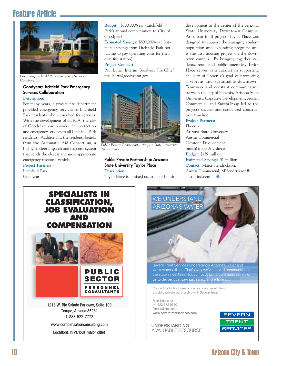# Feature Article



*Goodyear/Litchfi eld Park Emergency Services Collaboration*

# **Goodyear/Litchfield Park Emergency Services Collaboration**

**Description:** 

For many years, a private fire department provided emergency services to Litchfield Park residents who subscribed for services. With the development of an IGA, the city of Goodyear now provides fire protection and emergency services to all Litchfield Park residents. Additionally, the residents benefit from the Automatic Aid Consortium, a highly efficient dispatch and response system that sends the closest and most appropriate emergency response vehicle.

**Project Partners:** Litchfield Park Goodyear

Budget: \$500,000/year (Litchfield) Park's annual compensation to City of Goodyear)

**Estimated Savings:** \$800,000/year (estimated savings from Litchfield Park not having to pay operating costs for their own fire station)

# **Project Contact:**

Paul Luizzi, Interim Goodyear Fire Chief, paul.luizzi@goodyearaz.gov



*Public Private Partnership - Arizona State University Taylor Place*

# **Public Private Partnership: Arizona State University Taylor Place Description:**

Taylor Place is a mixed-use student housing

development at the center of the Arizona State University Downtown Campus. An urban infill project, Taylor Place was designed to support the emerging student population and expanding programs and is the first housing project on the downtown campus. By bringing together students, retail and public amenities, Taylor Place serves as a catalyst in supporting the city of Phoenix's goal of promoting a vibrant and sustainable downtown. Teamwork and constant communication between the city of Phoenix, Arizona State University, Capstone Development, Austin Commercial, and SmithGroup led to the project's success and condensed construction timeline.

# **Project Partners:**

Phoenix Arizona State University Austin Commercial Capstone Development SmithGroup Architects **Budget:** \$139 million **Estimated Savings:** \$1 million **Contact:** Marci Hendrickson, Austin Commercial, MHendrickson@ austin-ind.com  $\bullet$ 



www.compensationconsulting.com

Locations in various major cities



Severn Trent Services understands Arizona's water and wastewater utilities. That's why we've served communities in the state since 1983. Today, five Arizona communities rely on us to deliver cost savings, safety and efficiency.

Contact us today to learn how you can benefit from a public-private partnership with Severn Trent.

Fred Kriess, Jr. +1 623 572 9550 fkriess@stes.com www.severntrentservices.com

**UNDERSTANDING** A VALUABLE RESOURCE



# 108573. Severn.ind.ind.ind.indd 1 973573. Severn.indd 1 973573. Severn.indd 1 973573. Arizona City & Town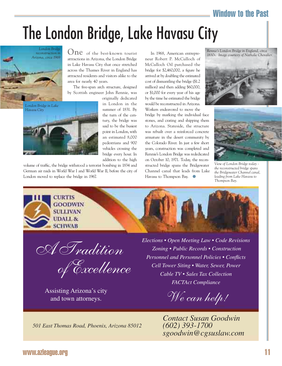# Window to the Past

# The London Bridge, Lake Havasu City



**One** of the best-known tourist attractions in Arizona, the London Bridge in Lake Havasu City that once stretched across the Thames River in England has attracted residents and visitors alike to the area for nearly 40 years.

The five-span arch structure, designed by Scottish engineer John Rennie, was



originally dedicated in London in the summer of 1831. By the turn of the century, the bridge was said to be the busiest point in London, with an estimated 8,000 pedestrians and 900 vehicles crossing the bridge every hour. In addition to the high

volume of traffic, the bridge withstood a terrorist bombing in 1834 and German air raids in World War I and World War II, before the city of London moved to replace the bridge in 1967.

In 1968, American entrepreneur Robert P. McCulloch of McCulloch Oil purchased the bridge for \$2,460,000, a figure he arrived at by doubling the estimated cost of dismantling the bridge (\$1.2 million) and then adding \$60,000, or \$1,000 for every year of his age by the time he estimated the bridge would be reconstructed in Arizona. Workers endeavored to move the

bridge by marking the individual face stones, and crating and shipping them to Arizona. Stateside, the structure was rebuilt over a reinforced concrete armature in the desert community by the Colorado River. In just a few short years, construction was completed and Rennie's London Bridge was rededicated on October 10, 1971. Today, the reconstructed bridge spans the Bridgewater Channel canal that leads from Lake Havasu to Thompson Bay. ●

*Rennie's London Bridge in England, circa 1830s. Image courtesy of Nathalie Chevalier.*





*View of London Bridge today the reconstructed bridge spans the Bridgewater Channel canal, leading from Lake Havasu to Thompson Bay.*



<u>A Tradition</u>

of Excellence

Assisting Arizona's city<br>and town attorneys.<br>
We can help! and town attorneys.

 *Elections • Open Meeting Law • Code Revisions Zoning • Public Records • Construction Personnel and Personnel Policies • Conflicts Cell Tower Siting • Water, Sewer, Power Cable TV • Sales Tax Collection FACTAct Compliance* 

*Contact Susan Goodwin (602) 393-1700 sgoodwin@cgsuslaw.com*

*501 East Thomas Road, Phoenix, Arizona 85012*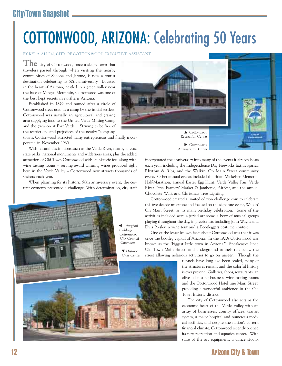# City/Town Snapshot

# COTTONWOOD, ARIZONA: Celebrating 50 Years

# BY KYLA ALLEN, CITY OF COTTONWOOD EXECUTIVE ASSISTANT

**The** city of Cottonwood, once a sleepy town that travelers passed through when visiting the nearby communities of Sedona and Jerome, is now a tourist destination celebrating its 50th anniversary. Located in the heart of Arizona, nestled in a green valley near the base of Mingus Mountain, Cottonwood was one of the best kept secrets in northern Arizona.

Established in 1879 and named after a circle of Cottonwood trees used as a camp by the initial settlers, Cottonwood was initially an agricultural and grazing area supplying food to the United Verde Mining Camp and the garrison at Fort Verde. Striving to be free of the restrictions and prejudices of the nearby "company"

towns, Cottonwood attracted many entrepreneurs and finally incorporated in November 1960.

With natural destinations such as the Verde River, nearby forests, state parks, national monuments and wilderness areas, plus the added attraction of Old Town Cottonwood with its historic feel along with wine tasting rooms – serving award winning wines produced right here in the Verde Valley – Cottonwood now attracts thousands of visitors each year.

When planning for its historic 50th anniversary event, the current economy presented a challenge. With determination, city staff





X *Cottonwood Anniversary Banner*

incorporated the anniversary into many of the events it already hosts each year, including the Independence Day Fireworks Extravaganza, Rhythm & Ribs, and the Walkin' On Main Street community event. Other annual events included the Brian Mickelsen Memorial Half-Marathon, annual Easter Egg Hunt, Verde Valley Fair, Verde River Days, Farmers' Market & Jamboree, AirFest, and the annual Chocolate Walk and Christmas Tree Lighting.

Cottonwood created a limited edition challenge coin to celebrate this five-decade milestone and focused on the signature event, Walkin' On Main Street, as its main birthday celebration. Some of the activities included were a juried art show, a bevy of musical groups playing throughout the day, impressionists including John Wayne and Elvis Presley, a wine tent and a Bootleggers costume contest.

One of the lesser known facts about Cottonwood was that it was once the bootleg capital of Arizona. In the 1920s Cottonwood was known as the "biggest little town in Arizona." Speakeasies lined Old Town Main Street, and underground tunnels ran below the street allowing nefarious activities to go on unseen. Though the

> tunnels have long ago been sealed, many of the structures remain and the colorful history is ever present. Galleries, shops, restaurants, an olive oil tasting business, wine tasting rooms and the Cottonwood Hotel line Main Street, providing a wonderful ambience in the Old Town historic district.

> The city of Cottonwood also acts as the economic heart of the Verde Valley with an array of businesses, county offices, transit system, a major hospital and numerous medical facilities, and despite the nation's current financial climate, Cottonwood recently opened its new recreation and aquatics center. With state of the art equipment, a dance studio,

# 12 Arizona City & Town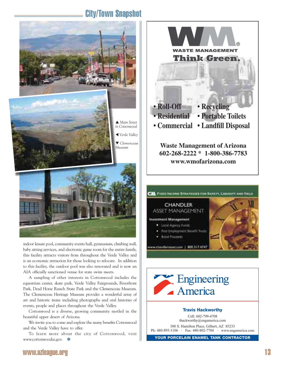# City/Town Snapshot



indoor leisure pool, community events hall, gymnasium, climbing wall, baby sitting services, and electronic game room for the entire family, this facility attracts visitors from throughout the Verde Valley and is an economic attraction for those looking to relocate. In addition to this facility, the outdoor pool was also renovated and is now an AIA officially sanctioned venue for state swim meets.

A sampling of other interests in Cottonwood includes the equestrian center, skate park, Verde Valley Fairgrounds, Riverfront Park, Dead Horse Ranch State Park and the Clemenceau Museum. The Clemenceau Heritage Museum provides a wonderful array of art and historic items including photographs and oral histories of events, people and places throughout the Verde Valley.

Cottonwood is a diverse, growing community nestled in the beautiful upper desert of Arizona.

We invite you to come and explore the many benefits Cottonwood and the Verde Valley have to offer.

To learn more about the city of Cottonwood, visit www.cottonwoodaz.gov. ●







# **Travis Hackworthy**

Cell: 602-799-4708 thackworthy@engamerica.com

300 S. Hamilton Place, Gilbert, AZ 85233 Ph: 480-895-1106 • Fax: 480-802-7704 • www.engamerica.com

**YOUR PORCELAIN ENAMEL TANK CONTRACTOR**

# www.azleague.org 13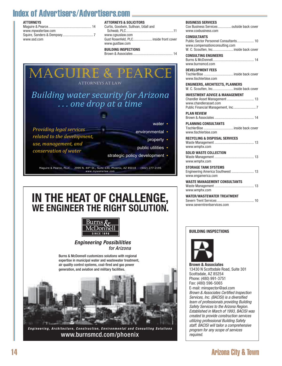# Index of Advertisers/Advertisers.com

# **ATTORNEYS**

| www.mpwaterlaw.com |
|--------------------|
|                    |
| www.ssd.com        |

# **ATTORNEYS & SOLICITORS**

| Curtis, Goodwin, Sullivan, Udall and   |
|----------------------------------------|
|                                        |
| www.cqsuslaw.com                       |
| Gust Rosenfeld, PLC inside front cover |
| www.qustlaw.com                        |
| <b>BUILDING INSPECTIONS</b>            |

Brown & Associates ............................................ 14

## **BUSINESS SERVICES** Cox Business Services ...............outside back cover

**DEVELOPMENT FEES**

www.tischlerbise.com

| www.coxbusiness.com                                                                                                                     |
|-----------------------------------------------------------------------------------------------------------------------------------------|
| <b>CONSULTANTS</b><br>Public Sector Personnel Consultants 10<br>www.compensationconsulting.com<br>W. C. Scoutten, Inc inside back cover |
| <b>CONSULTING ENGINEERS</b><br>www.burnsmcd.com                                                                                         |

TischlerBise ................................. inside back cover

*Providing legal services related to the development, use, management, and conservation of water* MAGUIRE & PEARCE ATTORNEYS AT LAW water **•** environmental • property public utilities • *Building water security for Arizona . . . one drop at a time*

strategic policy development •

Maguire & Pearce, PLLC 2999 N. 44<sup>th</sup> St., Suite 630, Phoenix, AZ 85018 (602) 277-2195 *www.m pwaterlaw.com*

# **IN THE HEAT OF CHALLENGE, WE ENGINEER THE RIGHT SOLUTION.**



*Engineering Possibilities* for Arizona



*Engineering, Architecture, Construction, Environmental and Consulting Solutions* www.burnsmcd.com/phoenix

| <b>ENGINEERS, ARCHITECTS, PLANNERS</b><br>W. C. Scoutten, Inc inside back cover |
|---------------------------------------------------------------------------------|
| INVESTMENT ADVICE & MANAGEMENT<br>www.chandlerasset.com                         |
| PLAN REVIEW                                                                     |
| <b>PLANNING CONSULTANTS</b>                                                     |

TischlerBise ................................. inside back cover www.tischlerbise.com

**RECYCLING & DISPOSAL SERVICES** Waste Management ............................................ 13 www.wmphx.com

**SOLID WASTE COLLECTION** Waste Management ............................................ 13 www.wmphx.com

**STORAGE TANK SYSTEMS** Engineering America Southwest ......................... 13 www.engamerica.com

**WASTE MANAGEMENT CONSULTANTS** Waste Management ............................................ 13 www.wmphx.com 102780<del>. 12/6/2021 12/6/2021 12:49:10 2:49:10 2:49:19 2:49:19 2:49:18 PM 2:49:18 PM 2:49:18 PM 2:49:18 PM 2:49</del>

> **WATER/WASTEWATER TREATMENT** Severn Trent Services ......................................... 10 www.severntrentservices.com

# **BUILDING INSPECTIONS**



**Brown & Associates** 13430 N Scottsdale Road, Suite 301 Scottsdale, AZ 85254 Phone: (480) 991-3751 Fax: (480) 596-5065 E-mail: minspector@aol.com Brown & Associates Certified Inspection Services, Inc. (BACISI) is a diversified team of professionals providing Building Safety Services to the Arizona Region. Established in March of 1993, BACISI was created to provide construction services utilizing professional Building Safety staff. BACISI will tailor a comprehensive program for any scope of services required.

# 14 Arizona City & Town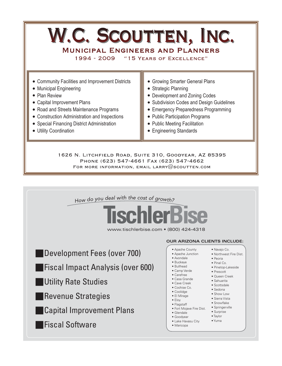# W.C. SCOUTTEN, INC.

**MUNICIPAL ENGINEERS AND PLANNERS** 1994 - 2009 "15 YEARS OF EXCELLENCE"

- Growing Smarter General Plans • Strategic Planning • Development and Zoning Codes • Community Facilities and Improvement Districts • Municipal Engineering • Plan Review • Capital Improvement Plans
- Road and Streets Maintenance Programs
- Construction Administration and Inspections
- Special Financing District Administration
- Utility Coordination
- Subdivision Codes and Design Guidelines
- Emergency Preparedness Programming
- Public Participation Programs
- Public Meeting Facilitation
- Engineering Standards

1626 N. LITCHFIELD ROAD, SUITE 310, GOODYEAR, AZ 85395 PHONE (623) 547-4661 FAX (623) 547-4662 FOR MORE INFORMATION, EMAIL LARRY  $@$  scoutten.com

How do you deal with the cost of growth?



www.tischlerbise.com • (800) 424-4318

- Development Fees (over 700)
- **Fiscal Impact Analysis (over 600)**
- **Q Utility Rate Studies**
- **Revenue Strategies**
- **Capital Improvement Plans**
- **T** Fiscal Software

# **OUR ARIZONA CLIENTS INCLUDE:**

- Apache County
- Apache Junction
- Avondale • Buckeye
- Bullhead
- Camp Verde
- Carefree
- Casa Grande
- Cave Creek
- Cochise Co. • Coolidge
- El Mirage
- Eloy
- Flagstaff
- Fort Mojave Fire Dist.
- Glendale
- Goodyear
- Lake Havasu City
- Maricopa
- Navajo Co. • Northwest Fire Dist.
- Peoria
- Pinal Co.
	- Pinetop-Lakeside
- Prescott • Queen Creek
- Sahuarita
- Scottsdale
- Sedona
- Show Low
- Sierra Vista • Snowflake
- Springerville
- Surprise
- Taylor
	- Yuma
-